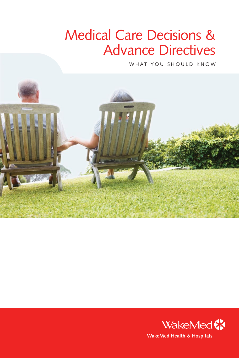# Medical Care Decisions & Advance Directives

WHAT YOU SHOULD KNOW



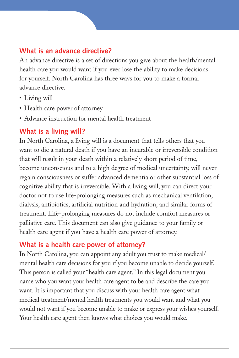## **What is an advance directive?**

An advance directive is a set of directions you give about the health/mental health care you would want if you ever lose the ability to make decisions for yourself. North Carolina has three ways for you to make a formal advance directive.

- Living will
- Health care power of attorney
- Advance instruction for mental health treatment

# **What is a living will?**

In North Carolina, a living will is a document that tells others that you want to die a natural death if you have an incurable or irreversible condition that will result in your death within a relatively short period of time, become unconscious and to a high degree of medical uncertainty, will never regain consciousness or suffer advanced dementia or other substantial loss of cognitive ability that is irreversible. With a living will, you can direct your doctor not to use life-prolonging measures such as mechanical ventilation, dialysis, antibiotics, artificial nutrition and hydration, and similar forms of treatment. Life-prolonging measures do not include comfort measures or palliative care. This document can also give guidance to your family or health care agent if you have a health care power of attorney.

# **What is a health care power of attorney?**

In North Carolina, you can appoint any adult you trust to make medical/ mental health care decisions for you if you become unable to decide yourself. This person is called your "health care agent." In this legal document you name who you want your health care agent to be and describe the care you want. It is important that you discuss with your health care agent what medical treatment/mental health treatments you would want and what you would not want if you become unable to make or express your wishes yourself. Your health care agent then knows what choices you would make.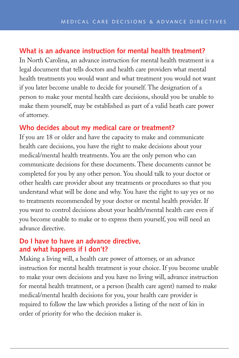#### **What is an advance instruction for mental health treatment?**

In North Carolina, an advance instruction for mental health treatment is a legal document that tells doctors and health care providers what mental health treatments you would want and what treatment you would not want if you later become unable to decide for yourself. The designation of a person to make your mental health care decisions, should you be unable to make them yourself, may be established as part of a valid heath care power of attorney.

#### **Who decides about my medical care or treatment?**

If you are 18 or older and have the capacity to make and communicate health care decisions, you have the right to make decisions about your medical/mental health treatments. You are the only person who can communicate decisions for these documents. These documents cannot be completed for you by any other person. You should talk to your doctor or other health care provider about any treatments or procedures so that you understand what will be done and why. You have the right to say yes or no to treatments recommended by your doctor or mental health provider. If you want to control decisions about your health/mental health care even if you become unable to make or to express them yourself, you will need an advance directive.

#### **Do I have to have an advance directive, and what happens if I don't?**

Making a living will, a health care power of attorney, or an advance instruction for mental health treatment is your choice. If you become unable to make your own decisions and you have no living will, advance instruction for mental health treatment, or a person (health care agent) named to make medical/mental health decisions for you, your health care provider is required to follow the law which provides a listing of the next of kin in order of priority for who the decision maker is.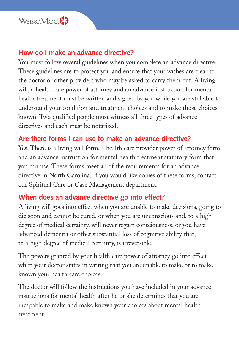

#### **How do I make an advance directive?**

You must follow several guidelines when you complete an advance directive. These guidelines are to protect you and ensure that your wishes are clear to the doctor or other providers who may be asked to carry them out. A living will, a health care power of attorney and an advance instruction for mental health treatment must be written and signed by you while you are still able to understand your condition and treatment choices and to make those choices known. Two qualified people must witness all three types of advance directives and each must be notarized.

## **Are there forms I can use to make an advance directive?**

Yes. There is a living will form, a health care provider power of attorney form and an advance instruction for mental health treatment statutory form that you can use. These forms meet all of the requirements for an advance directive in North Carolina. If you would like copies of these forms, contact our Spiritual Care or Case Management department.

### **When does an advance directive go into effect?**

A living will goes into effect when you are unable to make decisions, going to die soon and cannot be cured, or when you are unconscious and, to a high degree of medical certainty, will never regain consciousness, or you have advanced dementia or other substantial loss of cognitive ability that, to a high degree of medical certainty, is irreversible.

The powers granted by your health care power of attorney go into effect when your doctor states in writing that you are unable to make or to make known your health care choices.

The doctor will follow the instructions you have included in your advance instructions for mental health after he or she determines that you are incapable to make and make known your choices about mental health treatment.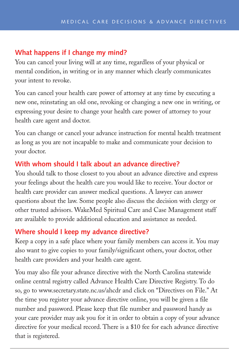## **What happens if I change my mind?**

You can cancel your living will at any time, regardless of your physical or mental condition, in writing or in any manner which clearly communicates your intent to revoke.

You can cancel your health care power of attorney at any time by executing a new one, reinstating an old one, revoking or changing a new one in writing, or expressing your desire to change your health care power of attorney to your health care agent and doctor.

You can change or cancel your advance instruction for mental health treatment as long as you are not incapable to make and communicate your decision to your doctor.

# **With whom should I talk about an advance directive?**

You should talk to those closest to you about an advance directive and express your feelings about the health care you would like to receive. Your doctor or health care provider can answer medical questions. A lawyer can answer questions about the law. Some people also discuss the decision with clergy or other trusted advisors. WakeMed Spiritual Care and Case Management staff are available to provide additional education and assistance as needed.

## **Where should I keep my advance directive?**

Keep a copy in a safe place where your family members can access it. You may also want to give copies to your family/significant others, your doctor, other health care providers and your health care agent.

You may also file your advance directive with the North Carolina statewide online central registry called Advance Health Care Directive Registry. To do so, go to www.secretary.state.nc.us/ahcdr and click on "Directives on File." At the time you register your advance directive online, you will be given a file number and password. Please keep that file number and password handy as your care provider may ask you for it in order to obtain a copy of your advance directive for your medical record. There is a \$10 fee for each advance directive that is registered.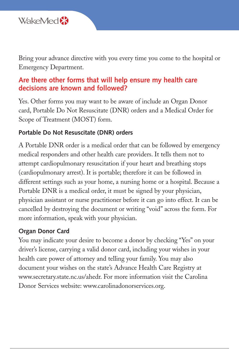

Bring your advance directive with you every time you come to the hospital or Emergency Department.

#### **Are there other forms that will help ensure my health care decisions are known and followed?**

Yes. Other forms you may want to be aware of include an Organ Donor card, Portable Do Not Resuscitate (DNR) orders and a Medical Order for Scope of Treatment (MOST) form.

#### **Portable Do Not Resuscitate (DNR) orders**

A Portable DNR order is a medical order that can be followed by emergency medical responders and other health care providers. It tells them not to attempt cardiopulmonary resuscitation if your heart and breathing stops (cardiopulmonary arrest). It is portable; therefore it can be followed in different settings such as your home, a nursing home or a hospital. Because a Portable DNR is a medical order, it must be signed by your physician, physician assistant or nurse practitioner before it can go into effect. It can be cancelled by destroying the document or writing "void" across the form. For more information, speak with your physician.

#### **Organ Donor Card**

You may indicate your desire to become a donor by checking "Yes" on your driver's license, carrying a valid donor card, including your wishes in your health care power of attorney and telling your family. You may also document your wishes on the state's Advance Health Care Registry at www.secretary.state.nc.us/ahedr. For more information visit the Carolina Donor Services website: www.carolinadonorservices.org.